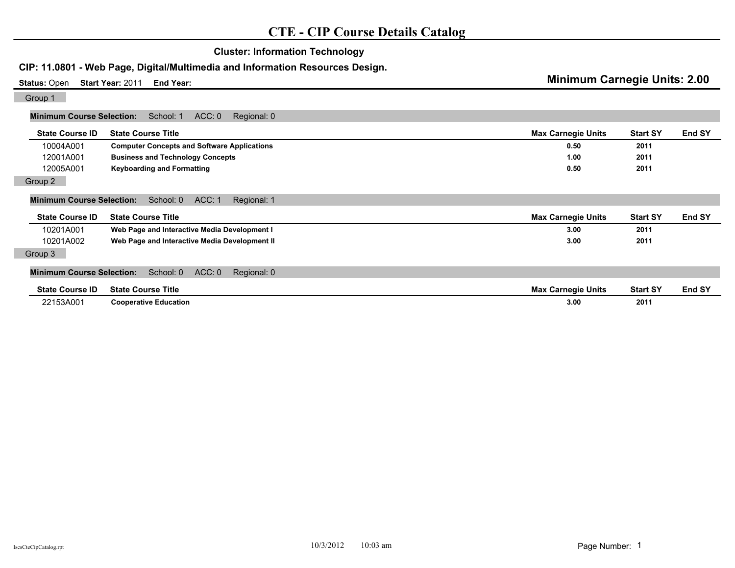# **Cluster: Information Technology**

## **CIP: 11.0801 - Web Page, Digital/Multimedia and Information Resources Design.**

**Status:** Open **Start Year:** 2011 **End Year: Minimum Carnegie Units: 2.00** Group 1

| Minimum Course Selection: School: 1 ACC: 0 Regional: 0 |  |  |
|--------------------------------------------------------|--|--|
|                                                        |  |  |

| <b>State Course ID</b>           | <b>State Course Title</b>                          | <b>Max Carnegie Units</b> | <b>Start SY</b> | End SY |
|----------------------------------|----------------------------------------------------|---------------------------|-----------------|--------|
| 10004A001                        | <b>Computer Concepts and Software Applications</b> | 0.50                      | 2011            |        |
| 12001A001                        | <b>Business and Technology Concepts</b>            | 1.00                      | 2011            |        |
| 12005A001                        | <b>Keyboarding and Formatting</b>                  | 0.50                      | 2011            |        |
| Group 2                          |                                                    |                           |                 |        |
| <b>Minimum Course Selection:</b> | ACC: 1<br>School: 0<br>Regional: 1                 |                           |                 |        |
| <b>State Course ID</b>           | <b>State Course Title</b>                          | <b>Max Carnegie Units</b> | <b>Start SY</b> | End SY |
| 10201A001                        | Web Page and Interactive Media Development I       | 3.00                      | 2011            |        |
| 10201A002                        | Web Page and Interactive Media Development II      | 3.00                      | 2011            |        |
| Group 3                          |                                                    |                           |                 |        |
| <b>Minimum Course Selection:</b> | ACC: 0<br>School: 0<br>Regional: 0                 |                           |                 |        |
| <b>State Course ID</b>           | <b>State Course Title</b>                          | <b>Max Carnegie Units</b> | <b>Start SY</b> | End SY |
| 22153A001                        | <b>Cooperative Education</b>                       | 3.00                      | 2011            |        |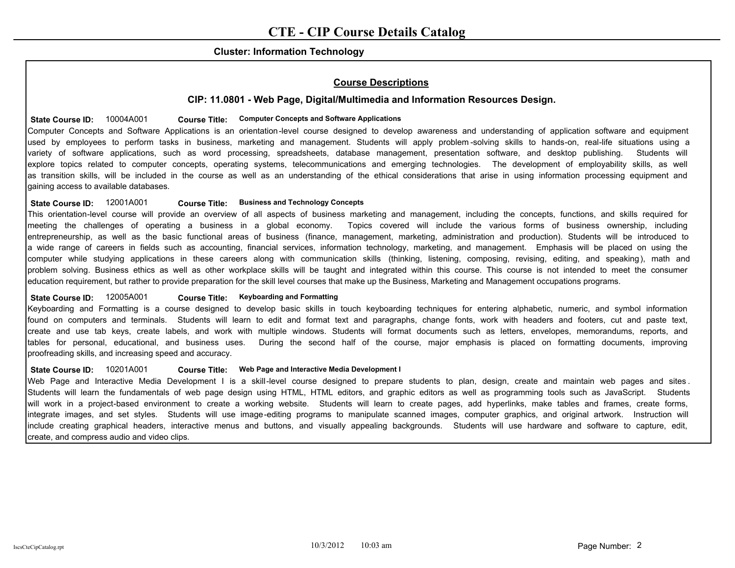## **Cluster: Information Technology**

## **Course Descriptions**

## **CIP: 11.0801 - Web Page, Digital/Multimedia and Information Resources Design.**

## State Course ID:  $10004A001$  Course Title: Computer Concepts and Software Applications

Computer Concepts and Software Applications is an orientation-level course designed to develop awareness and understanding of application software and equipment used by employees to perform tasks in business, marketing and management. Students will apply problem -solving skills to hands-on, real-life situations using a variety of software applications, such as word processing, spreadsheets, database management, presentation software, and desktop publishing. Students will explore topics related to computer concepts, operating systems, telecommunications and emerging technologies. The development of employability skills, as well as transition skills, will be included in the course as well as an understanding of the ethical considerations that arise in using information processing equipment and gaining access to available databases.

#### **State Course ID:** 12001A001 **Business and Technology Concepts Course Title:**

This orientation-level course will provide an overview of all aspects of business marketing and management, including the concepts, functions, and skills required for meeting the challenges of operating a business in a global economy. Topics covered will include the various forms of business ownership, including entrepreneurship, as well as the basic functional areas of business (finance, management, marketing, administration and production). Students will be introduced to a wide range of careers in fields such as accounting, financial services, information technology, marketing, and management. Emphasis will be placed on using the computer while studying applications in these careers along with communication skills (thinking, listening, composing, revising, editing, and speaking), math and problem solving. Business ethics as well as other workplace skills will be taught and integrated within this course. This course is not intended to meet the consumer education requirement, but rather to provide preparation for the skill level courses that make up the Business, Marketing and Management occupations programs.

#### State Course ID: 12005A001 **Course Title: Keyboarding and Formatting**

Keyboarding and Formatting is a course designed to develop basic skills in touch keyboarding techniques for entering alphabetic, numeric, and symbol information found on computers and terminals. Students will learn to edit and format text and paragraphs, change fonts, work with headers and footers, cut and paste text, create and use tab keys, create labels, and work with multiple windows. Students will format documents such as letters, envelopes, memorandums, reports, and tables for personal, educational, and business uses. During the second half of the course, major emphasis is placed on formatting documents, improving proofreading skills, and increasing speed and accuracy.

#### State Course ID: 10201A001 Course Title: Web Page and Interactive Media Development I

Web Page and Interactive Media Development I is a skill-level course designed to prepare students to plan, design, create and maintain web pages and sites. Students will learn the fundamentals of web page design using HTML, HTML editors, and graphic editors as well as programming tools such as JavaScript. Students will work in a project-based environment to create a working website. Students will learn to create pages, add hyperlinks, make tables and frames, create forms, integrate images, and set styles. Students will use image-editing programs to manipulate scanned images, computer graphics, and original artwork. Instruction will include creating graphical headers, interactive menus and buttons, and visually appealing backgrounds. Students will use hardware and software to capture, edit, create, and compress audio and video clips.